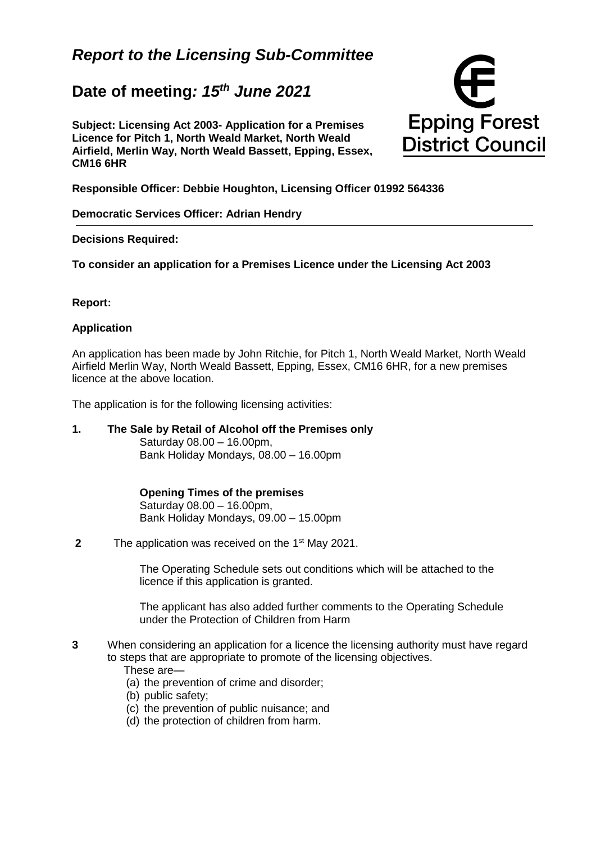# *Report to the Licensing Sub-Committee*

# **Date of meeting***: 15th June 2021*

**Subject: Licensing Act 2003- Application for a Premises Licence for Pitch 1, North Weald Market, North Weald Airfield, Merlin Way, North Weald Bassett, Epping, Essex, CM16 6HR**



**Responsible Officer: Debbie Houghton, Licensing Officer 01992 564336**

**Democratic Services Officer: Adrian Hendry**

#### **Decisions Required:**

**To consider an application for a Premises Licence under the Licensing Act 2003**

#### **Report:**

#### **Application**

An application has been made by John Ritchie, for Pitch 1, North Weald Market, North Weald Airfield Merlin Way, North Weald Bassett, Epping, Essex, CM16 6HR, for a new premises licence at the above location.

The application is for the following licensing activities:

**1. The Sale by Retail of Alcohol off the Premises only**  Saturday 08.00 – 16.00pm, Bank Holiday Mondays, 08.00 – 16.00pm

> **Opening Times of the premises**  Saturday 08.00 – 16.00pm, Bank Holiday Mondays, 09.00 – 15.00pm

**2** The application was received on the 1<sup>st</sup> May 2021.

The Operating Schedule sets out conditions which will be attached to the licence if this application is granted.

The applicant has also added further comments to the Operating Schedule under the Protection of Children from Harm

- **3** When considering an application for a licence the licensing authority must have regard to steps that are appropriate to promote of the licensing objectives.
	- These are—
	- (a) the prevention of crime and disorder;
	- (b) public safety;
	- (c) the prevention of public nuisance; and
	- (d) the protection of children from harm.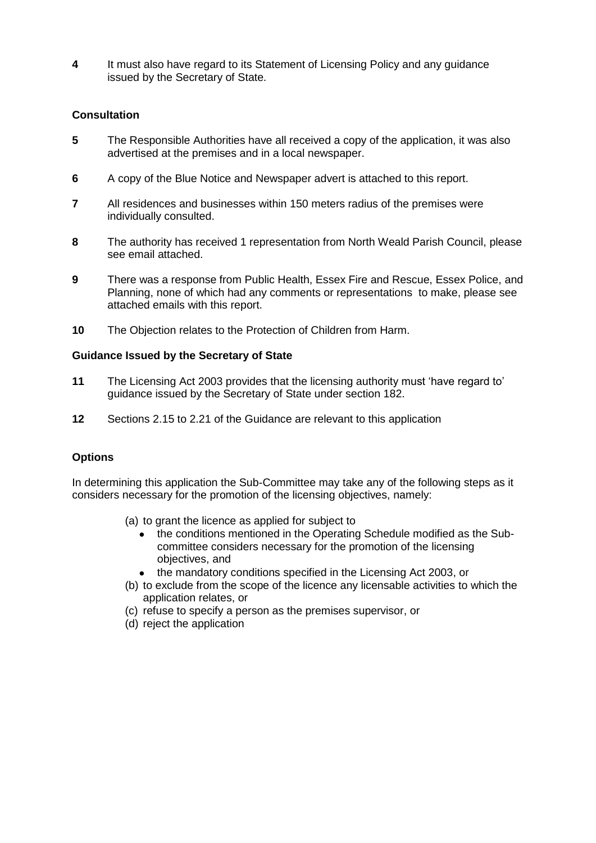**4** It must also have regard to its Statement of Licensing Policy and any guidance issued by the Secretary of State.

# **Consultation**

- **5** The Responsible Authorities have all received a copy of the application, it was also advertised at the premises and in a local newspaper.
- **6** A copy of the Blue Notice and Newspaper advert is attached to this report.
- **7** All residences and businesses within 150 meters radius of the premises were individually consulted.
- **8** The authority has received 1 representation from North Weald Parish Council, please see email attached.
- **9** There was a response from Public Health, Essex Fire and Rescue, Essex Police, and Planning, none of which had any comments or representations to make, please see attached emails with this report.
- **10** The Objection relates to the Protection of Children from Harm.

#### **Guidance Issued by the Secretary of State**

- **11** The Licensing Act 2003 provides that the licensing authority must 'have regard to' guidance issued by the Secretary of State under section 182.
- **12** Sections 2.15 to 2.21 of the Guidance are relevant to this application

# **Options**

In determining this application the Sub-Committee may take any of the following steps as it considers necessary for the promotion of the licensing objectives, namely:

- (a) to grant the licence as applied for subject to
	- the conditions mentioned in the Operating Schedule modified as the Subcommittee considers necessary for the promotion of the licensing objectives, and
	- the mandatory conditions specified in the Licensing Act 2003, or
- (b) to exclude from the scope of the licence any licensable activities to which the application relates, or
- (c) refuse to specify a person as the premises supervisor, or
- (d) reject the application